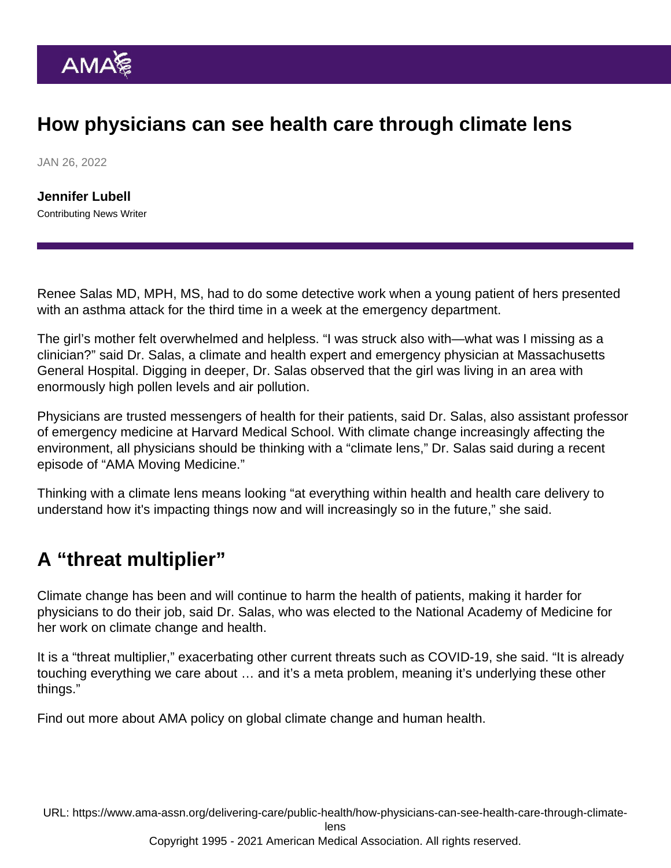## How physicians can see health care through climate lens

JAN 26, 2022

[Jennifer Lubell](https://www.ama-assn.org/news-leadership-viewpoints/authors-news-leadership-viewpoints/jennifer-lubell) Contributing News Writer

Renee Salas MD, MPH, MS, had to do some detective work when a young patient of hers presented with an asthma attack for the third time in a week at the emergency department.

The girl's mother felt overwhelmed and helpless. "I was struck also with—what was I missing as a clinician?" said Dr. Salas, a climate and health expert and emergency physician at Massachusetts General Hospital. Digging in deeper, Dr. Salas observed that the girl was living in an area with enormously high pollen levels and air pollution.

Physicians are trusted messengers of health for their patients, said Dr. Salas, also assistant professor of emergency medicine at Harvard Medical School. With [climate change](https://www.ama-assn.org/topics/climate-change) increasingly affecting the environment, all physicians should be thinking with a "climate lens," Dr. Salas said during a [recent](https://www.ama-assn.org/delivering-care/public-health/renee-salas-md-mph-ms-intersection-health-and-climate-crisis) [episode](https://www.ama-assn.org/delivering-care/public-health/renee-salas-md-mph-ms-intersection-health-and-climate-crisis) of "[AMA Moving Medicine](https://www.ama-assn.org/series/moving-medicine-video-series)."

Thinking with a climate lens means looking "at everything within health and health care delivery to understand how it's impacting things now and will increasingly so in the future," she said.

## A "threat multiplier"

Climate change has been and will continue to harm the health of patients, making it harder for physicians to do their job, said Dr. Salas, who was elected to the National Academy of Medicine for her work on climate change and health.

It is a "threat multiplier," exacerbating other current threats such as COVID-19, she said. "It is already touching everything we care about … and it's a meta problem, meaning it's underlying these other things."

Find out more about [AMA policy on global climate change and human health](https://policysearch.ama-assn.org/policyfinder/detail/climate change?uri=/AMADoc/HOD.xml-0-309.xml).

URL: [https://www.ama-assn.org/delivering-care/public-health/how-physicians-can-see-health-care-through-climate-](https://www.ama-assn.org/delivering-care/public-health/how-physicians-can-see-health-care-through-climate-lens)

[lens](https://www.ama-assn.org/delivering-care/public-health/how-physicians-can-see-health-care-through-climate-lens)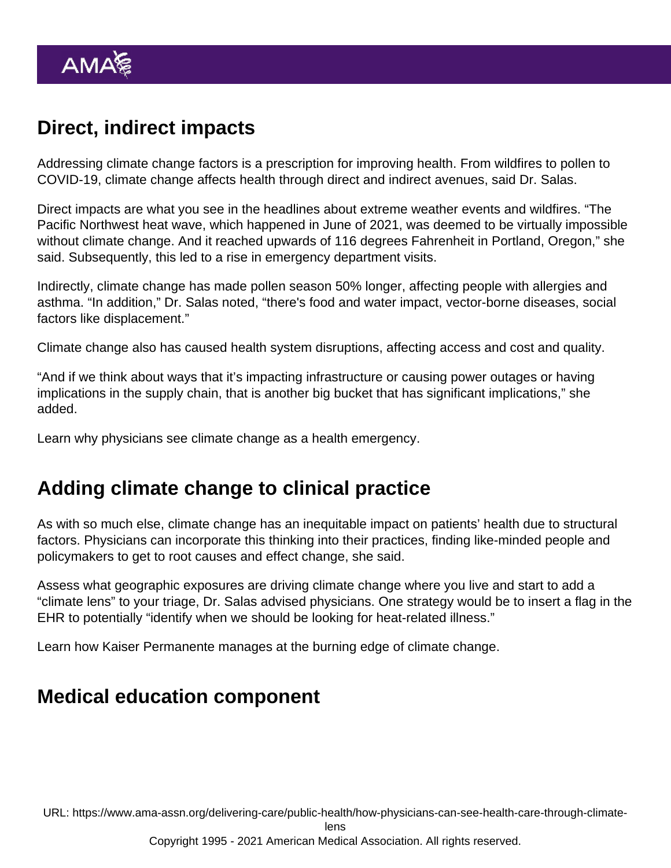# Direct, indirect impacts

Addressing climate change factors is a prescription for improving health. From wildfires to pollen to COVID-19, climate change affects health through direct and indirect avenues, said Dr. Salas.

Direct impacts are what you see in the headlines about extreme weather events and wildfires. "The Pacific Northwest heat wave, which happened in June of 2021, was deemed to be virtually impossible without climate change. And it reached upwards of 116 degrees Fahrenheit in Portland, Oregon," she said. Subsequently, this led to a rise in emergency department visits.

Indirectly, climate change has made pollen season 50% longer, affecting people with allergies and asthma. "In addition," Dr. Salas noted, "there's food and water impact, vector-borne diseases, social factors like displacement."

Climate change also has caused health system disruptions, affecting access and cost and quality.

"And if we think about ways that it's impacting infrastructure or causing power outages or having implications in the supply chain, that is another big bucket that has significant implications," she added.

Learn why [physicians see climate change as a health emergency](https://www.ama-assn.org/delivering-care/public-health/why-physicians-see-climate-change-health-emergency).

## Adding climate change to clinical practice

As with so much else, climate change has an inequitable impact on patients' health due to structural factors. Physicians can incorporate this thinking into their practices, finding like-minded people and policymakers to get to root causes and effect change, she said.

Assess what geographic exposures are driving climate change where you live and start to add a "climate lens" to your triage, Dr. Salas advised physicians. One strategy would be to insert a flag in the EHR to potentially "identify when we should be looking for heat-related illness."

Learn how [Kaiser Permanente manages at the burning edge of climate change.](https://www.ama-assn.org/delivering-care/public-health/how-kaiser-permanente-manages-burning-edge-climate-change)

#### Medical education component

URL: [https://www.ama-assn.org/delivering-care/public-health/how-physicians-can-see-health-care-through-climate-](https://www.ama-assn.org/delivering-care/public-health/how-physicians-can-see-health-care-through-climate-lens)

[lens](https://www.ama-assn.org/delivering-care/public-health/how-physicians-can-see-health-care-through-climate-lens)